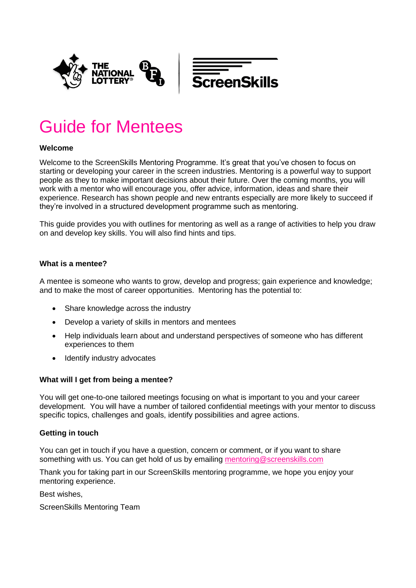

# Guide for Mentees

## **Welcome**

Welcome to the ScreenSkills Mentoring Programme. It's great that you've chosen to focus on starting or developing your career in the screen industries. Mentoring is a powerful way to support people as they to make important decisions about their future. Over the coming months, you will work with a mentor who will encourage you, offer advice, information, ideas and share their experience. Research has shown people and new entrants especially are more likely to succeed if they're involved in a structured development programme such as mentoring.

This guide provides you with outlines for mentoring as well as a range of activities to help you draw on and develop key skills. You will also find hints and tips.

## **What is a mentee?**

A mentee is someone who wants to grow, develop and progress; gain experience and knowledge; and to make the most of career opportunities. Mentoring has the potential to:

- Share knowledge across the industry
- Develop a variety of skills in mentors and mentees
- Help individuals learn about and understand perspectives of someone who has different experiences to them
- Identify industry advocates

## **What will I get from being a mentee?**

You will get one-to-one tailored meetings focusing on what is important to you and your career development. You will have a number of tailored confidential meetings with your mentor to discuss specific topics, challenges and goals, identify possibilities and agree actions.

## **Getting in touch**

You can get in touch if you have a question, concern or comment, or if you want to share something with us. You can get hold of us by emailing [mentoring@screenskills.com](mailto:mentoring@screenskills.com)

Thank you for taking part in our ScreenSkills mentoring programme, we hope you enjoy your mentoring experience.

Best wishes,

ScreenSkills Mentoring Team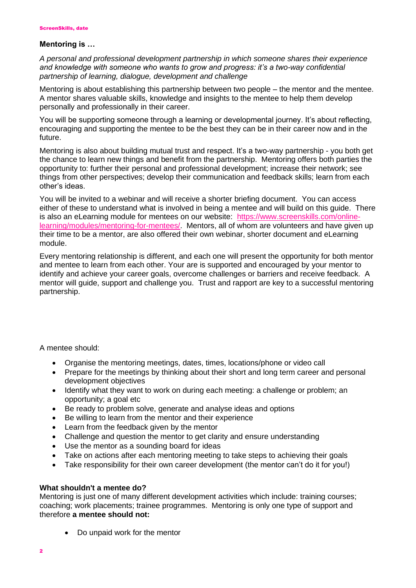#### **Mentoring is …**

*A personal and professional development partnership in which someone shares their experience and knowledge with someone who wants to grow and progress: it's a two-way confidential partnership of learning, dialogue, development and challenge*

Mentoring is about establishing this partnership between two people – the mentor and the mentee. A mentor shares valuable skills, knowledge and insights to the mentee to help them develop personally and professionally in their career.

You will be supporting someone through a learning or developmental journey. It's about reflecting, encouraging and supporting the mentee to be the best they can be in their career now and in the future.

Mentoring is also about building mutual trust and respect. It's a two-way partnership - you both get the chance to learn new things and benefit from the partnership. Mentoring offers both parties the opportunity to: further their personal and professional development; increase their network; see things from other perspectives; develop their communication and feedback skills; learn from each other's ideas.

You will be invited to a webinar and will receive a shorter briefing document. You can access either of these to understand what is involved in being a mentee and will build on this guide. There is also an eLearning module for mentees on our website: [https://www.screenskills.com/online](https://www.screenskills.com/online-learning/modules/mentoring-for-mentees/)[learning/modules/mentoring-for-mentees/.](https://www.screenskills.com/online-learning/modules/mentoring-for-mentees/) Mentors, all of whom are volunteers and have given up their time to be a mentor, are also offered their own webinar, shorter document and eLearning module.

Every mentoring relationship is different, and each one will present the opportunity for both mentor and mentee to learn from each other. Your are is supported and encouraged by your mentor to identify and achieve your career goals, overcome challenges or barriers and receive feedback. A mentor will guide, support and challenge you. Trust and rapport are key to a successful mentoring partnership.

A mentee should:

- Organise the mentoring meetings, dates, times, locations/phone or video call
- Prepare for the meetings by thinking about their short and long term career and personal development objectives
- Identify what they want to work on during each meeting: a challenge or problem; an opportunity; a goal etc
- Be ready to problem solve, generate and analyse ideas and options
- Be willing to learn from the mentor and their experience
- Learn from the feedback given by the mentor
- Challenge and question the mentor to get clarity and ensure understanding
- Use the mentor as a sounding board for ideas
- Take on actions after each mentoring meeting to take steps to achieving their goals
- Take responsibility for their own career development (the mentor can't do it for you!)

#### **What shouldn't a mentee do?**

Mentoring is just one of many different development activities which include: training courses; coaching; work placements; trainee programmes. Mentoring is only one type of support and therefore **a mentee should not:**

• Do unpaid work for the mentor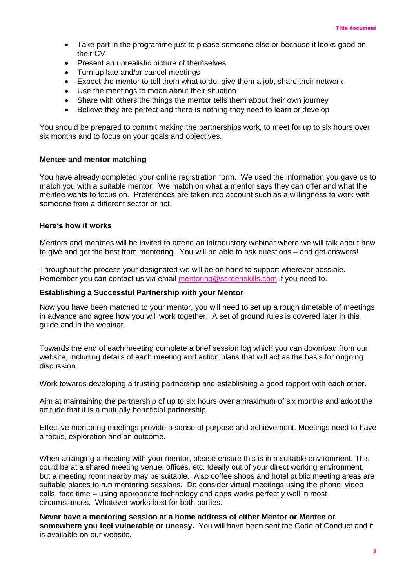- Take part in the programme just to please someone else or because it looks good on their CV
- Present an unrealistic picture of themselves
- Turn up late and/or cancel meetings
- Expect the mentor to tell them what to do, give them a job, share their network
- Use the meetings to moan about their situation
- Share with others the things the mentor tells them about their own journey
- Believe they are perfect and there is nothing they need to learn or develop

You should be prepared to commit making the partnerships work, to meet for up to six hours over six months and to focus on your goals and objectives.

#### **Mentee and mentor matching**

You have already completed your online registration form. We used the information you gave us to match you with a suitable mentor. We match on what a mentor says they can offer and what the mentee wants to focus on. Preferences are taken into account such as a willingness to work with someone from a different sector or not.

#### **Here's how it works**

Mentors and mentees will be invited to attend an introductory webinar where we will talk about how to give and get the best from mentoring. You will be able to ask questions – and get answers!

Throughout the process your designated we will be on hand to support wherever possible. Remember you can contact us via email [mentoring@screenskills.com](mailto:mentoring@screenskills.com) if you need to.

#### **Establishing a Successful Partnership with your Mentor**

Now you have been matched to your mentor, you will need to set up a rough timetable of meetings in advance and agree how you will work together. A set of ground rules is covered later in this guide and in the webinar.

Towards the end of each meeting complete a brief session log which you can download from our website, including details of each meeting and action plans that will act as the basis for ongoing discussion.

Work towards developing a trusting partnership and establishing a good rapport with each other.

Aim at maintaining the partnership of up to six hours over a maximum of six months and adopt the attitude that it is a mutually beneficial partnership.

Effective mentoring meetings provide a sense of purpose and achievement. Meetings need to have a focus, exploration and an outcome.

When arranging a meeting with your mentor, please ensure this is in a suitable environment. This could be at a shared meeting venue, offices, etc. Ideally out of your direct working environment, but a meeting room nearby may be suitable. Also coffee shops and hotel public meeting areas are suitable places to run mentoring sessions. Do consider virtual meetings using the phone, video calls, face time – using appropriate technology and apps works perfectly well in most circumstances. Whatever works best for both parties.

**Never have a mentoring session at a home address of either Mentor or Mentee or somewhere you feel vulnerable or uneasy.** You will have been sent the Code of Conduct and it is available on our website**.**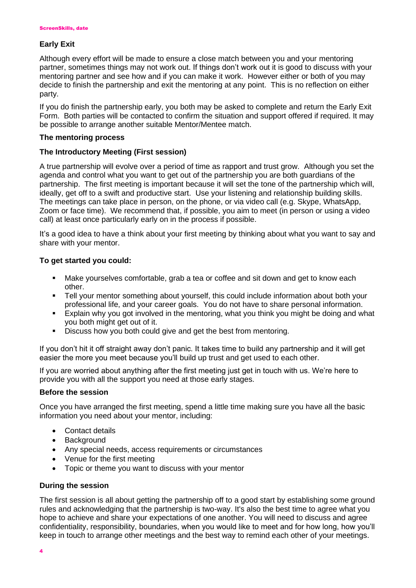## **Early Exit**

Although every effort will be made to ensure a close match between you and your mentoring partner, sometimes things may not work out. If things don't work out it is good to discuss with your mentoring partner and see how and if you can make it work. However either or both of you may decide to finish the partnership and exit the mentoring at any point. This is no reflection on either party.

If you do finish the partnership early, you both may be asked to complete and return the Early Exit Form. Both parties will be contacted to confirm the situation and support offered if required. It may be possible to arrange another suitable Mentor/Mentee match.

## **The mentoring process**

## **The Introductory Meeting (First session)**

A true partnership will evolve over a period of time as rapport and trust grow. Although you set the agenda and control what you want to get out of the partnership you are both guardians of the partnership. The first meeting is important because it will set the tone of the partnership which will, ideally, get off to a swift and productive start. Use your listening and relationship building skills. The meetings can take place in person, on the phone, or via video call (e.g. Skype, WhatsApp, Zoom or face time). We recommend that, if possible, you aim to meet (in person or using a video call) at least once particularly early on in the process if possible.

It's a good idea to have a think about your first meeting by thinking about what you want to say and share with your mentor.

## **To get started you could:**

- Make yourselves comfortable, grab a tea or coffee and sit down and get to know each other.
- Tell your mentor something about yourself, this could include information about both your professional life, and your career goals. You do not have to share personal information.
- Explain why you got involved in the mentoring, what you think you might be doing and what you both might get out of it.
- **EXECUTE:** Discuss how you both could give and get the best from mentoring.

If you don't hit it off straight away don't panic. It takes time to build any partnership and it will get easier the more you meet because you'll build up trust and get used to each other.

If you are worried about anything after the first meeting just get in touch with us. We're here to provide you with all the support you need at those early stages.

#### **Before the session**

Once you have arranged the first meeting, spend a little time making sure you have all the basic information you need about your mentor, including:

- Contact details
- Background
- Any special needs, access requirements or circumstances
- Venue for the first meeting
- Topic or theme you want to discuss with your mentor

#### **During the session**

The first session is all about getting the partnership off to a good start by establishing some ground rules and acknowledging that the partnership is two-way. It's also the best time to agree what you hope to achieve and share your expectations of one another. You will need to discuss and agree confidentiality, responsibility, boundaries, when you would like to meet and for how long, how you'll keep in touch to arrange other meetings and the best way to remind each other of your meetings.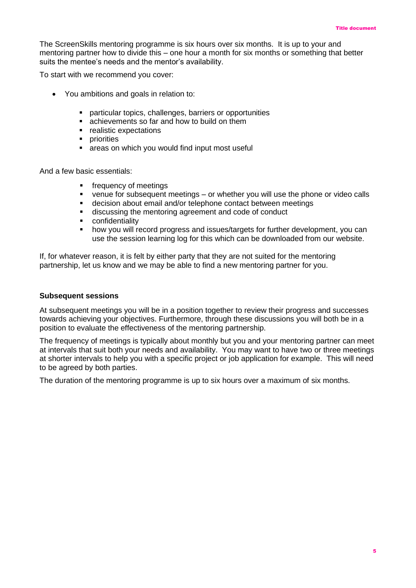The ScreenSkills mentoring programme is six hours over six months. It is up to your and mentoring partner how to divide this – one hour a month for six months or something that better suits the mentee's needs and the mentor's availability.

To start with we recommend you cover:

- You ambitions and goals in relation to:
	- particular topics, challenges, barriers or opportunities
	- achievements so far and how to build on them
	- realistic expectations
	- priorities
	- areas on which you would find input most useful

And a few basic essentials:

- frequency of meetings
- venue for subsequent meetings or whether you will use the phone or video calls
- decision about email and/or telephone contact between meetings
- discussing the mentoring agreement and code of conduct
- confidentiality
- how you will record progress and issues/targets for further development, you can use the session learning log for this which can be downloaded from our website.

If, for whatever reason, it is felt by either party that they are not suited for the mentoring partnership, let us know and we may be able to find a new mentoring partner for you.

#### **Subsequent sessions**

At subsequent meetings you will be in a position together to review their progress and successes towards achieving your objectives. Furthermore, through these discussions you will both be in a position to evaluate the effectiveness of the mentoring partnership.

The frequency of meetings is typically about monthly but you and your mentoring partner can meet at intervals that suit both your needs and availability. You may want to have two or three meetings at shorter intervals to help you with a specific project or job application for example. This will need to be agreed by both parties.

The duration of the mentoring programme is up to six hours over a maximum of six months.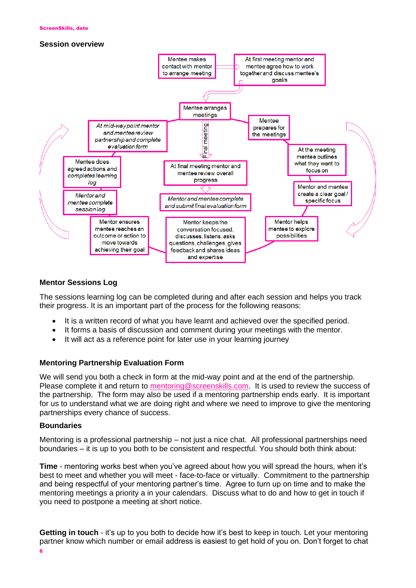#### **Session overview**



## **Mentor Sessions Log**

The sessions learning log can be completed during and after each session and helps you track their progress. It is an important part of the process for the following reasons:

- It is a written record of what you have learnt and achieved over the specified period.
- It forms a basis of discussion and comment during your meetings with the mentor.
- It will act as a reference point for later use in your learning journey

## **Mentoring Partnership Evaluation Form**

We will send you both a check in form at the mid-way point and at the end of the partnership. Please complete it and return to [mentoring@screenskills.com.](mailto:mentoring@screenskills.com) It is used to review the success of the partnership. The form may also be used if a mentoring partnership ends early. It is important for us to understand what we are doing right and where we need to improve to give the mentoring partnerships every chance of success.

#### **Boundaries**

Mentoring is a professional partnership – not just a nice chat. All professional partnerships need boundaries – it is up to you both to be consistent and respectful. You should both think about:

**Time** - mentoring works best when you've agreed about how you will spread the hours, when it's best to meet and whether you will meet - face-to-face or virtually. Commitment to the partnership and being respectful of your mentoring partner's time. Agree to turn up on time and to make the mentoring meetings a priority a in your calendars. Discuss what to do and how to get in touch if you need to postpone a meeting at short notice.

**Getting in touch** - it's up to you both to decide how it's best to keep in touch. Let your mentoring partner know which number or email address is easiest to get hold of you on. Don't forget to chat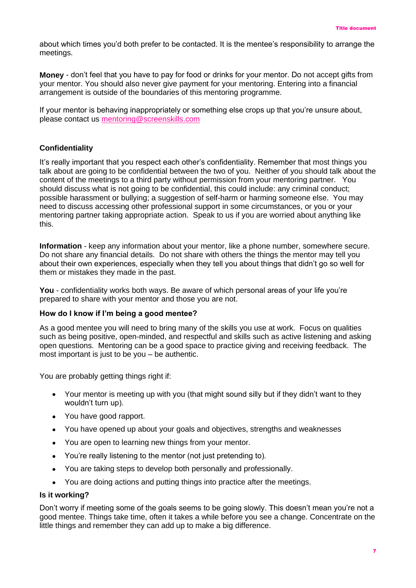about which times you'd both prefer to be contacted. It is the mentee's responsibility to arrange the meetings.

**Money** - don't feel that you have to pay for food or drinks for your mentor. Do not accept gifts from your mentor. You should also never give payment for your mentoring. Entering into a financial arrangement is outside of the boundaries of this mentoring programme.

If your mentor is behaving inappropriately or something else crops up that you're unsure about, please contact us [mentoring@screenskills.com](mailto:mentoring@screenskills.com)

## **Confidentiality**

It's really important that you respect each other's confidentiality. Remember that most things you talk about are going to be confidential between the two of you. Neither of you should talk about the content of the meetings to a third party without permission from your mentoring partner. You should discuss what is not going to be confidential, this could include: any criminal conduct; possible harassment or bullying; a suggestion of self-harm or harming someone else. You may need to discuss accessing other professional support in some circumstances, or you or your mentoring partner taking appropriate action. Speak to us if you are worried about anything like this.

**Information** - keep any information about your mentor, like a phone number, somewhere secure. Do not share any financial details. Do not share with others the things the mentor may tell you about their own experiences, especially when they tell you about things that didn't go so well for them or mistakes they made in the past.

**You** - confidentiality works both ways. Be aware of which personal areas of your life you're prepared to share with your mentor and those you are not.

## **How do I know if I'm being a good mentee?**

As a good mentee you will need to bring many of the skills you use at work. Focus on qualities such as being positive, open-minded, and respectful and skills such as active listening and asking open questions. Mentoring can be a good space to practice giving and receiving feedback. The most important is just to be you – be authentic.

You are probably getting things right if:

- Your mentor is meeting up with you (that might sound silly but if they didn't want to they wouldn't turn up).
- You have good rapport.
- You have opened up about your goals and objectives, strengths and weaknesses
- You are open to learning new things from your mentor.
- You're really listening to the mentor (not just pretending to).
- You are taking steps to develop both personally and professionally.
- You are doing actions and putting things into practice after the meetings.

#### **Is it working?**

Don't worry if meeting some of the goals seems to be going slowly. This doesn't mean you're not a good mentee. Things take time, often it takes a while before you see a change. Concentrate on the little things and remember they can add up to make a big difference.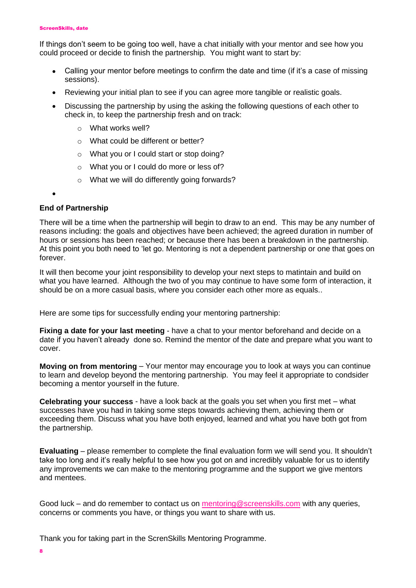#### ScreenSkills, date

If things don't seem to be going too well, have a chat initially with your mentor and see how you could proceed or decide to finish the partnership. You might want to start by:

- Calling your mentor before meetings to confirm the date and time (if it's a case of missing sessions).
- Reviewing your initial plan to see if you can agree more tangible or realistic goals.
- Discussing the partnership by using the asking the following questions of each other to check in, to keep the partnership fresh and on track:
	- o What works well?
	- o What could be different or better?
	- o What you or I could start or stop doing?
	- o What you or I could do more or less of?
	- o What we will do differently going forwards?

•

## **End of Partnership**

There will be a time when the partnership will begin to draw to an end. This may be any number of reasons including: the goals and objectives have been achieved; the agreed duration in number of hours or sessions has been reached; or because there has been a breakdown in the partnership. At this point you both need to 'let go. Mentoring is not a dependent partnership or one that goes on forever.

It will then become your joint responsibility to develop your next steps to matintain and build on what you have learned. Although the two of you may continue to have some form of interaction, it should be on a more casual basis, where you consider each other more as equals..

Here are some tips for successfully ending your mentoring partnership:

**Fixing a date for your last meeting** - have a chat to your mentor beforehand and decide on a date if you haven't already done so. Remind the mentor of the date and prepare what you want to cover.

**Moving on from mentoring** – Your mentor may encourage you to look at ways you can continue to learn and develop beyond the mentoring partnership. You may feel it appropriate to condsider becoming a mentor yourself in the future.

**Celebrating your success** - have a look back at the goals you set when you first met – what successes have you had in taking some steps towards achieving them, achieving them or exceeding them. Discuss what you have both enjoyed, learned and what you have both got from the partnership.

**Evaluating** – please remember to complete the final evaluation form we will send you. It shouldn't take too long and it's really helpful to see how you got on and incredibly valuable for us to identify any improvements we can make to the mentoring programme and the support we give mentors and mentees.

Good luck – and do remember to contact us on [mentoring@screenskills.com](mailto:mentoring@screenskills.com) with any queries, concerns or comments you have, or things you want to share with us.

Thank you for taking part in the ScrenSkills Mentoring Programme.